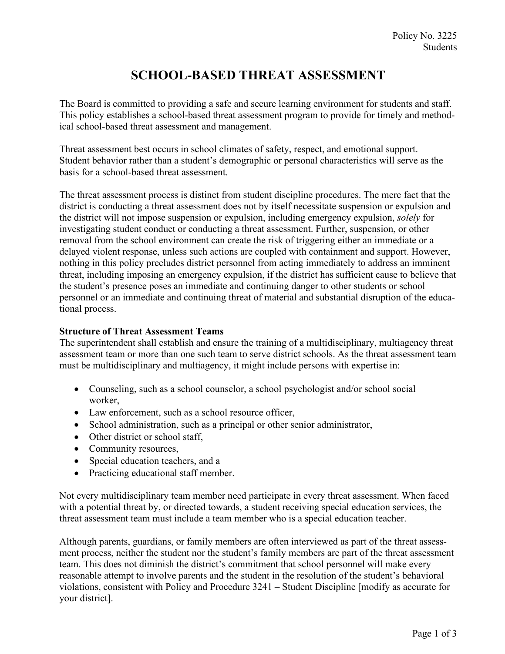# **SCHOOL-BASED THREAT ASSESSMENT**

The Board is committed to providing a safe and secure learning environment for students and staff. This policy establishes a school-based threat assessment program to provide for timely and methodical school-based threat assessment and management.

Threat assessment best occurs in school climates of safety, respect, and emotional support. Student behavior rather than a student's demographic or personal characteristics will serve as the basis for a school-based threat assessment.

The threat assessment process is distinct from student discipline procedures. The mere fact that the district is conducting a threat assessment does not by itself necessitate suspension or expulsion and the district will not impose suspension or expulsion, including emergency expulsion, *solely* for investigating student conduct or conducting a threat assessment. Further, suspension, or other removal from the school environment can create the risk of triggering either an immediate or a delayed violent response, unless such actions are coupled with containment and support. However, nothing in this policy precludes district personnel from acting immediately to address an imminent threat, including imposing an emergency expulsion, if the district has sufficient cause to believe that the student's presence poses an immediate and continuing danger to other students or school personnel or an immediate and continuing threat of material and substantial disruption of the educational process.

## **Structure of Threat Assessment Teams**

The superintendent shall establish and ensure the training of a multidisciplinary, multiagency threat assessment team or more than one such team to serve district schools. As the threat assessment team must be multidisciplinary and multiagency, it might include persons with expertise in:

- Counseling, such as a school counselor, a school psychologist and/or school social worker,
- Law enforcement, such as a school resource officer,
- School administration, such as a principal or other senior administrator,
- Other district or school staff,
- Community resources,
- Special education teachers, and a
- Practicing educational staff member.

Not every multidisciplinary team member need participate in every threat assessment. When faced with a potential threat by, or directed towards, a student receiving special education services, the threat assessment team must include a team member who is a special education teacher.

Although parents, guardians, or family members are often interviewed as part of the threat assessment process, neither the student nor the student's family members are part of the threat assessment team. This does not diminish the district's commitment that school personnel will make every reasonable attempt to involve parents and the student in the resolution of the student's behavioral violations, consistent with Policy and Procedure 3241 – Student Discipline [modify as accurate for your district].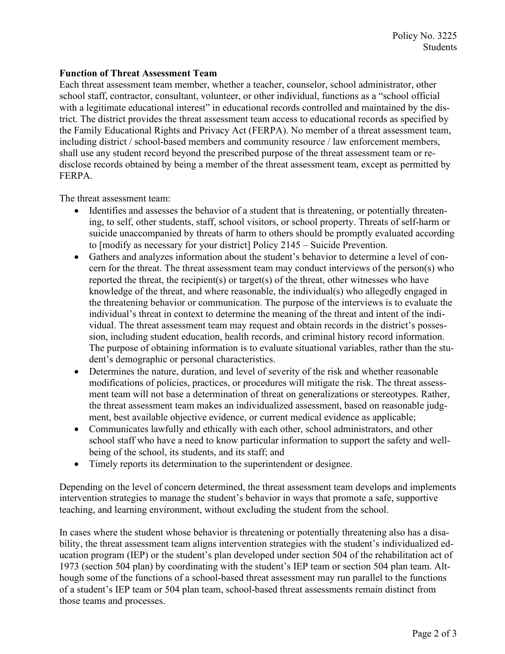### **Function of Threat Assessment Team**

Each threat assessment team member, whether a teacher, counselor, school administrator, other school staff, contractor, consultant, volunteer, or other individual, functions as a "school official with a legitimate educational interest" in educational records controlled and maintained by the district. The district provides the threat assessment team access to educational records as specified by the Family Educational Rights and Privacy Act (FERPA). No member of a threat assessment team, including district / school-based members and community resource / law enforcement members, shall use any student record beyond the prescribed purpose of the threat assessment team or redisclose records obtained by being a member of the threat assessment team, except as permitted by FERPA.

The threat assessment team:

- Identifies and assesses the behavior of a student that is threatening, or potentially threatening, to self, other students, staff, school visitors, or school property. Threats of self-harm or suicide unaccompanied by threats of harm to others should be promptly evaluated according to [modify as necessary for your district] Policy 2145 – Suicide Prevention.
- Gathers and analyzes information about the student's behavior to determine a level of concern for the threat. The threat assessment team may conduct interviews of the person(s) who reported the threat, the recipient(s) or target(s) of the threat, other witnesses who have knowledge of the threat, and where reasonable, the individual(s) who allegedly engaged in the threatening behavior or communication. The purpose of the interviews is to evaluate the individual's threat in context to determine the meaning of the threat and intent of the individual. The threat assessment team may request and obtain records in the district's possession, including student education, health records, and criminal history record information. The purpose of obtaining information is to evaluate situational variables, rather than the student's demographic or personal characteristics.
- Determines the nature, duration, and level of severity of the risk and whether reasonable modifications of policies, practices, or procedures will mitigate the risk. The threat assessment team will not base a determination of threat on generalizations or stereotypes. Rather, the threat assessment team makes an individualized assessment, based on reasonable judgment, best available objective evidence, or current medical evidence as applicable;
- Communicates lawfully and ethically with each other, school administrators, and other school staff who have a need to know particular information to support the safety and wellbeing of the school, its students, and its staff; and
- Timely reports its determination to the superintendent or designee.

Depending on the level of concern determined, the threat assessment team develops and implements intervention strategies to manage the student's behavior in ways that promote a safe, supportive teaching, and learning environment, without excluding the student from the school.

In cases where the student whose behavior is threatening or potentially threatening also has a disability, the threat assessment team aligns intervention strategies with the student's individualized education program (IEP) or the student's plan developed under section 504 of the rehabilitation act of 1973 (section 504 plan) by coordinating with the student's IEP team or section 504 plan team. Although some of the functions of a school-based threat assessment may run parallel to the functions of a student's IEP team or 504 plan team, school-based threat assessments remain distinct from those teams and processes.